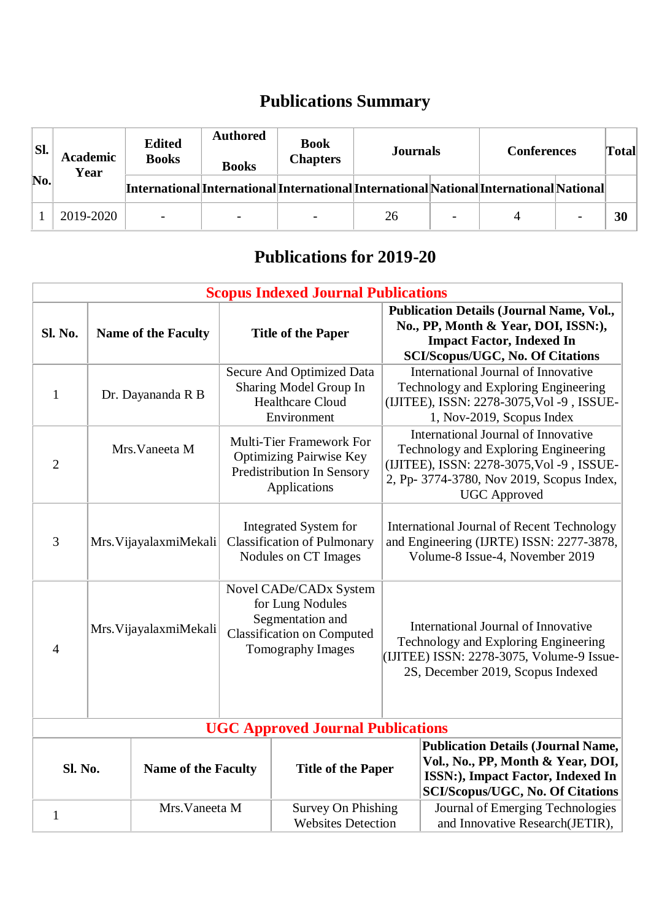## **Publications Summary**

| SI.<br>No. | <b>Academic</b><br>Year | <b>Edited</b><br><b>Books</b>                                                           | <b>Authored</b><br><b>Books</b> | <b>Book</b><br><b>Chapters</b> | Journals |  | <b>Conferences</b> |  | <b>Total</b> |
|------------|-------------------------|-----------------------------------------------------------------------------------------|---------------------------------|--------------------------------|----------|--|--------------------|--|--------------|
|            |                         | [International]International]International]InternationalNational]International National |                                 |                                |          |  |                    |  |              |
|            | 2019-2020               |                                                                                         |                                 |                                | 26       |  | 4                  |  | 30           |

## **Publications for 2019-20**

| <b>Scopus Indexed Journal Publications</b> |                            |                                                                                                                          |                                                                                                                                                                                              |  |  |
|--------------------------------------------|----------------------------|--------------------------------------------------------------------------------------------------------------------------|----------------------------------------------------------------------------------------------------------------------------------------------------------------------------------------------|--|--|
| Sl. No.                                    | <b>Name of the Faculty</b> | <b>Title of the Paper</b>                                                                                                | <b>Publication Details (Journal Name, Vol.,</b><br>No., PP, Month & Year, DOI, ISSN:),<br><b>Impact Factor, Indexed In</b><br><b>SCI/Scopus/UGC, No. Of Citations</b>                        |  |  |
| 1                                          | Dr. Dayananda R B          | <b>Secure And Optimized Data</b><br>Sharing Model Group In<br><b>Healthcare Cloud</b><br>Environment                     | International Journal of Innovative<br>Technology and Exploring Engineering<br>(IJITEE), ISSN: 2278-3075, Vol -9, ISSUE-<br>1, Nov-2019, Scopus Index                                        |  |  |
| $\overline{2}$                             | Mrs. Vaneeta M             | <b>Multi-Tier Framework For</b><br><b>Optimizing Pairwise Key</b><br>Predistribution In Sensory<br>Applications          | International Journal of Innovative<br>Technology and Exploring Engineering<br>(IJITEE), ISSN: 2278-3075, Vol -9, ISSUE-<br>2, Pp- 3774-3780, Nov 2019, Scopus Index,<br><b>UGC</b> Approved |  |  |
| 3                                          | Mrs. VijayalaxmiMekali     | Integrated System for<br><b>Classification of Pulmonary</b><br>Nodules on CT Images                                      | <b>International Journal of Recent Technology</b><br>and Engineering (IJRTE) ISSN: 2277-3878,<br>Volume-8 Issue-4, November 2019                                                             |  |  |
| 4                                          | Mrs. VijayalaxmiMekali     | Novel CADe/CADx System<br>for Lung Nodules<br>Segmentation and<br><b>Classification on Computed</b><br>Tomography Images | International Journal of Innovative<br>Technology and Exploring Engineering<br>(IJITEE) ISSN: 2278-3075, Volume-9 Issue-<br>2S, December 2019, Scopus Indexed                                |  |  |

| <b>UGC Approved Journal Publications</b> |                            |                                                        |                                                                                                                                                                 |  |  |
|------------------------------------------|----------------------------|--------------------------------------------------------|-----------------------------------------------------------------------------------------------------------------------------------------------------------------|--|--|
| <b>Sl. No.</b>                           | <b>Name of the Faculty</b> | <b>Title of the Paper</b>                              | Publication Details (Journal Name,<br>Vol., No., PP, Month & Year, DOI,<br><b>ISSN:</b> ), Impact Factor, Indexed In<br><b>SCI/Scopus/UGC, No. Of Citations</b> |  |  |
|                                          | Mrs. Vaneeta M             | <b>Survey On Phishing</b><br><b>Websites Detection</b> | Journal of Emerging Technologies<br>and Innovative Research(JETIR),                                                                                             |  |  |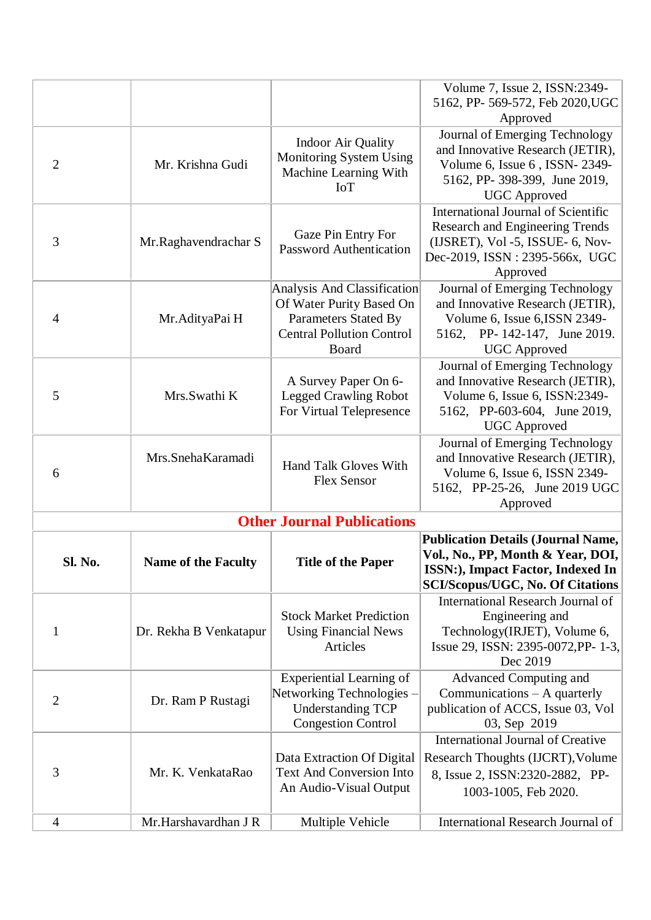|                |                            |                                                               | Volume 7, Issue 2, ISSN:2349-                                     |
|----------------|----------------------------|---------------------------------------------------------------|-------------------------------------------------------------------|
|                |                            |                                                               | 5162, PP- 569-572, Feb 2020, UGC                                  |
|                |                            |                                                               | Approved                                                          |
|                |                            |                                                               | Journal of Emerging Technology                                    |
|                |                            | <b>Indoor Air Quality</b>                                     | and Innovative Research (JETIR),                                  |
| $\overline{2}$ | Mr. Krishna Gudi           | Monitoring System Using                                       | Volume 6, Issue 6, ISSN-2349-                                     |
|                |                            | Machine Learning With                                         | 5162, PP- 398-399, June 2019,                                     |
|                |                            | <b>IoT</b>                                                    | <b>UGC</b> Approved                                               |
|                |                            |                                                               | <b>International Journal of Scientific</b>                        |
|                |                            |                                                               | <b>Research and Engineering Trends</b>                            |
| 3              | Mr.Raghavendrachar S       | Gaze Pin Entry For<br><b>Password Authentication</b>          | (IJSRET), Vol -5, ISSUE- 6, Nov-                                  |
|                |                            |                                                               | Dec-2019, ISSN: 2395-566x, UGC                                    |
|                |                            |                                                               | Approved                                                          |
|                |                            | Analysis And Classification                                   | Journal of Emerging Technology                                    |
|                |                            | Of Water Purity Based On                                      | and Innovative Research (JETIR),                                  |
| $\overline{4}$ | Mr. AdityaPai H            | <b>Parameters Stated By</b>                                   | Volume 6, Issue 6, ISSN 2349-                                     |
|                |                            | <b>Central Pollution Control</b>                              | 5162, PP-142-147, June 2019.                                      |
|                |                            | Board                                                         | <b>UGC</b> Approved                                               |
|                |                            |                                                               | Journal of Emerging Technology                                    |
| 5              | Mrs.Swathi K               | A Survey Paper On 6-<br><b>Legged Crawling Robot</b>          | and Innovative Research (JETIR),<br>Volume 6, Issue 6, ISSN:2349- |
|                |                            | For Virtual Telepresence                                      | 5162, PP-603-604, June 2019,                                      |
|                |                            |                                                               | <b>UGC</b> Approved                                               |
|                |                            |                                                               | Journal of Emerging Technology                                    |
|                | Mrs.SnehaKaramadi          |                                                               | and Innovative Research (JETIR),                                  |
| 6              |                            | Hand Talk Gloves With                                         | Volume 6, Issue 6, ISSN 2349-                                     |
|                |                            | <b>Flex Sensor</b>                                            | 5162, PP-25-26, June 2019 UGC                                     |
|                |                            |                                                               | Approved                                                          |
|                |                            | <b>Other Journal Publications</b>                             |                                                                   |
|                |                            |                                                               | <b>Publication Details (Journal Name,</b>                         |
| Sl. No.        | <b>Name of the Faculty</b> | <b>Title of the Paper</b>                                     | Vol., No., PP, Month & Year, DOI,                                 |
|                |                            |                                                               | ISSN:), Impact Factor, Indexed In                                 |
|                |                            |                                                               | <b>SCI/Scopus/UGC, No. Of Citations</b>                           |
|                |                            |                                                               | International Research Journal of                                 |
|                |                            | <b>Stock Market Prediction</b>                                | Engineering and                                                   |
| 1              | Dr. Rekha B Venkatapur     | <b>Using Financial News</b>                                   | Technology(IRJET), Volume 6,                                      |
|                |                            | Articles                                                      | Issue 29, ISSN: 2395-0072, PP- 1-3,                               |
|                |                            |                                                               | Dec 2019                                                          |
|                |                            | <b>Experiential Learning of</b>                               | Advanced Computing and                                            |
| $\overline{2}$ | Dr. Ram P Rustagi          | Networking Technologies -                                     | Communications $-$ A quarterly                                    |
|                |                            | <b>Understanding TCP</b><br><b>Congestion Control</b>         | publication of ACCS, Issue 03, Vol<br>03, Sep 2019                |
|                |                            |                                                               | <b>International Journal of Creative</b>                          |
|                |                            |                                                               |                                                                   |
| 3              | Mr. K. VenkataRao          | Data Extraction Of Digital<br><b>Text And Conversion Into</b> | Research Thoughts (IJCRT), Volume                                 |
|                |                            | An Audio-Visual Output                                        | 8, Issue 2, ISSN:2320-2882, PP-                                   |
|                |                            |                                                               | 1003-1005, Feb 2020.                                              |
|                | Mr.Harshavardhan J R       |                                                               | International Research Journal of                                 |
| 4              |                            | Multiple Vehicle                                              |                                                                   |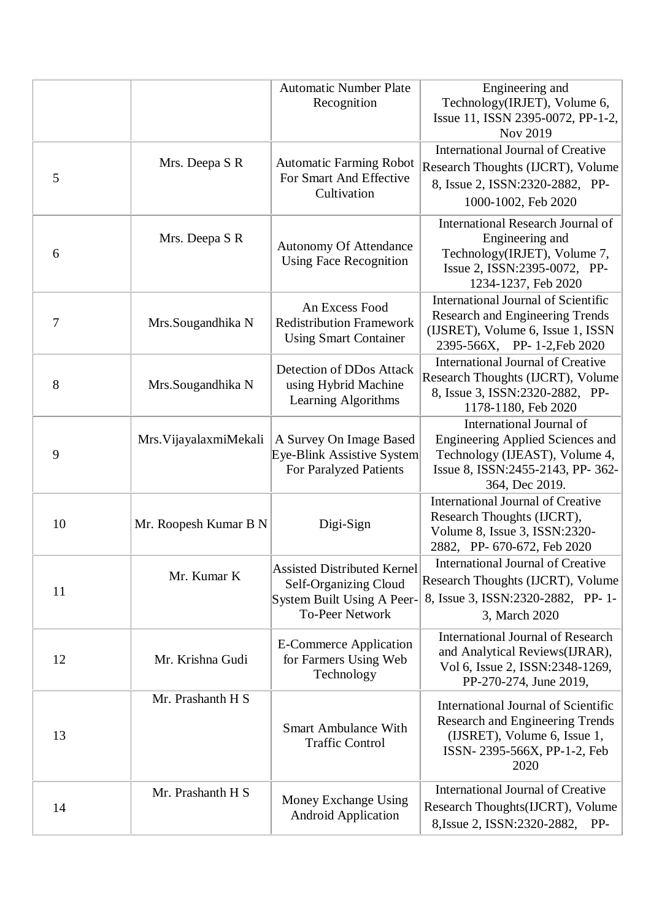|    |                        | <b>Automatic Number Plate</b><br>Recognition                                                                        | Engineering and<br>Technology(IRJET), Volume 6,<br>Issue 11, ISSN 2395-0072, PP-1-2,<br>Nov 2019                                                     |
|----|------------------------|---------------------------------------------------------------------------------------------------------------------|------------------------------------------------------------------------------------------------------------------------------------------------------|
| 5  | Mrs. Deepa S R         | <b>Automatic Farming Robot</b><br>For Smart And Effective<br>Cultivation                                            | <b>International Journal of Creative</b><br>Research Thoughts (IJCRT), Volume<br>8, Issue 2, ISSN:2320-2882, PP-<br>1000-1002, Feb 2020              |
| 6  | Mrs. Deepa S R         | <b>Autonomy Of Attendance</b><br><b>Using Face Recognition</b>                                                      | International Research Journal of<br>Engineering and<br>Technology(IRJET), Volume 7,<br>Issue 2, ISSN:2395-0072, PP-<br>1234-1237, Feb 2020          |
| 7  | Mrs.Sougandhika N      | An Excess Food<br><b>Redistribution Framework</b><br><b>Using Smart Container</b>                                   | International Journal of Scientific<br><b>Research and Engineering Trends</b><br>(IJSRET), Volume 6, Issue 1, ISSN<br>2395-566X, PP- 1-2, Feb 2020   |
| 8  | Mrs.Sougandhika N      | Detection of DDos Attack<br>using Hybrid Machine<br>Learning Algorithms                                             | <b>International Journal of Creative</b><br>Research Thoughts (IJCRT), Volume<br>8, Issue 3, ISSN:2320-2882, PP-<br>1178-1180, Feb 2020              |
| 9  | Mrs. VijayalaxmiMekali | A Survey On Image Based<br>Eye-Blink Assistive System<br>For Paralyzed Patients                                     | International Journal of<br>Engineering Applied Sciences and<br>Technology (IJEAST), Volume 4,<br>Issue 8, ISSN:2455-2143, PP-362-<br>364, Dec 2019. |
| 10 | Mr. Roopesh Kumar B N  | Digi-Sign                                                                                                           | <b>International Journal of Creative</b><br>Research Thoughts (IJCRT),<br>Volume 8, Issue 3, ISSN:2320-<br>2882, PP- 670-672, Feb 2020               |
| 11 | Mr. Kumar K            | <b>Assisted Distributed Kernel</b><br>Self-Organizing Cloud<br>System Built Using A Peer-<br><b>To-Peer Network</b> | <b>International Journal of Creative</b><br>Research Thoughts (IJCRT), Volume<br>8, Issue 3, ISSN: 2320-2882, PP-1-<br>3, March 2020                 |
| 12 | Mr. Krishna Gudi       | <b>E-Commerce Application</b><br>for Farmers Using Web<br>Technology                                                | <b>International Journal of Research</b><br>and Analytical Reviews(IJRAR),<br>Vol 6, Issue 2, ISSN:2348-1269,<br>PP-270-274, June 2019,              |
| 13 | Mr. Prashanth H S      | <b>Smart Ambulance With</b><br><b>Traffic Control</b>                                                               | International Journal of Scientific<br>Research and Engineering Trends<br>(IJSRET), Volume 6, Issue 1,<br>ISSN-2395-566X, PP-1-2, Feb<br>2020        |
| 14 | Mr. Prashanth H S      | Money Exchange Using<br><b>Android Application</b>                                                                  | <b>International Journal of Creative</b><br>Research Thoughts (IJCRT), Volume<br>PP-<br>8, Issue 2, ISSN: 2320-2882,                                 |